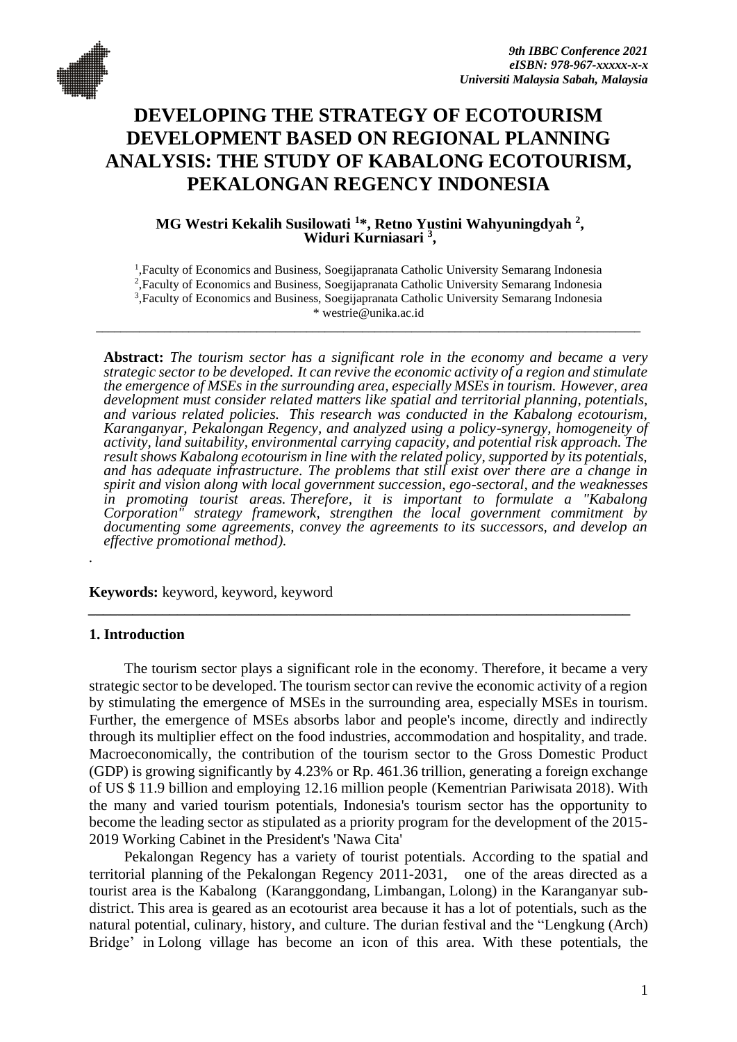

# **DEVELOPING THE STRATEGY OF ECOTOURISM DEVELOPMENT BASED ON REGIONAL PLANNING ANALYSIS: THE STUDY OF KABALONG ECOTOURISM, PEKALONGAN REGENCY INDONESIA**

#### **MG Westri Kekalih Susilowati <sup>1</sup> \*, Retno Yustini Wahyuningdyah <sup>2</sup> , Widuri Kurniasari <sup>3</sup> ,**

<sup>1</sup>, Faculty of Economics and Business, Soegijapranata Catholic University Semarang Indonesia 2 ,Faculty of Economics and Business, Soegijapranata Catholic University Semarang Indonesia <sup>3</sup>, Faculty of Economics and Business, Soegijapranata Catholic University Semarang Indonesia \* westrie@unika.ac.id

\_\_\_\_\_\_\_\_\_\_\_\_\_\_\_\_\_\_\_\_\_\_\_\_\_\_\_\_\_\_\_\_\_\_\_\_\_\_\_\_\_\_\_\_\_\_\_\_\_\_\_\_\_\_\_\_\_\_\_\_\_\_\_\_\_\_\_\_\_\_\_\_\_\_\_\_\_\_\_\_\_\_\_\_\_\_\_\_

**Abstract:** *The tourism sector has a significant role in the economy and became a very strategic sector to be developed. It can revive the economic activity of a region and stimulate the emergence of MSEs in the surrounding area, especially MSEs in tourism. However, area development must consider related matters like spatial and territorial planning, potentials, and various related policies. This research was conducted in the Kabalong ecotourism, Karanganyar, Pekalongan Regency, and analyzed using a policy-synergy, homogeneity of activity, land suitability, environmental carrying capacity, and potential risk approach. The result shows Kabalong ecotourism in line with the related policy, supported by its potentials, and has adequate infrastructure. The problems that still exist over there are a change in spirit and vision along with local government succession, ego-sectoral, and the weaknesses in promoting tourist areas. Therefore, it is important to formulate a "Kabalong Corporation" strategy framework, strengthen the local government commitment by documenting some agreements, convey the agreements to its successors, and develop an effective promotional method).*

**Keywords:** keyword, keyword, keyword

#### **1. Introduction**

*.*

The tourism sector plays a significant role in the economy. Therefore, it became a very strategic sector to be developed. The tourism sector can revive the economic activity of a region by stimulating the emergence of MSEs in the surrounding area, especially MSEs in tourism. Further, the emergence of MSEs absorbs labor and people's income, directly and indirectly through its multiplier effect on the food industries, accommodation and hospitality, and trade. Macroeconomically, the contribution of the tourism sector to the Gross Domestic Product (GDP) is growing significantly by 4.23% or Rp. 461.36 trillion, generating a foreign exchange of US \$ 11.9 billion and employing 12.16 million people (Kementrian Pariwisata 2018). With the many and varied tourism potentials, Indonesia's tourism sector has the opportunity to become the leading sector as stipulated as a priority program for the development of the 2015- 2019 Working Cabinet in the President's 'Nawa Cita'

*\_\_\_\_\_\_\_\_\_\_\_\_\_\_\_\_\_\_\_\_\_\_\_\_\_\_\_\_\_\_\_\_\_\_\_\_\_\_\_\_\_\_\_\_\_\_\_\_\_\_\_\_\_\_\_\_\_\_\_\_\_\_\_\_\_\_\_\_\_\_\_\_\_*

Pekalongan Regency has a variety of tourist potentials. According to the spatial and territorial planning of the Pekalongan Regency 2011-2031, one of the areas directed as a tourist area is the Kabalong (Karanggondang, Limbangan, Lolong) in the Karanganyar subdistrict. This area is geared as an ecotourist area because it has a lot of potentials, such as the natural potential, culinary, history, and culture. The durian festival and the "Lengkung (Arch) Bridge' in Lolong village has become an icon of this area. With these potentials, the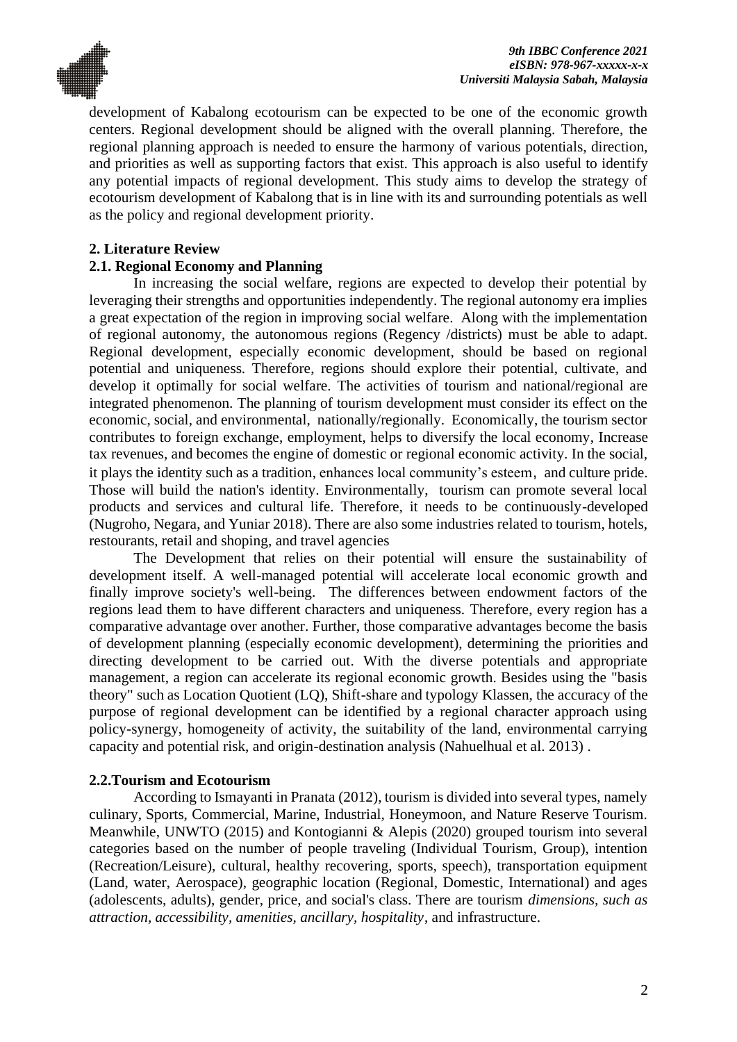

development of Kabalong ecotourism can be expected to be one of the economic growth centers. Regional development should be aligned with the overall planning. Therefore, the regional planning approach is needed to ensure the harmony of various potentials, direction, and priorities as well as supporting factors that exist. This approach is also useful to identify any potential impacts of regional development. This study aims to develop the strategy of ecotourism development of Kabalong that is in line with its and surrounding potentials as well as the policy and regional development priority.

#### **2. Literature Review**

# **2.1. Regional Economy and Planning**

In increasing the social welfare, regions are expected to develop their potential by leveraging their strengths and opportunities independently. The regional autonomy era implies a great expectation of the region in improving social welfare. Along with the implementation of regional autonomy, the autonomous regions (Regency /districts) must be able to adapt. Regional development, especially economic development, should be based on regional potential and uniqueness. Therefore, regions should explore their potential, cultivate, and develop it optimally for social welfare. The activities of tourism and national/regional are integrated phenomenon. The planning of tourism development must consider its effect on the economic, social, and environmental, nationally/regionally. Economically, the tourism sector contributes to foreign exchange, employment, helps to diversify the local economy, Increase tax revenues, and becomes the engine of domestic or regional economic activity. In the social, it plays the identity such as a tradition, enhances local community's esteem, and culture pride. Those will build the nation's identity. Environmentally, tourism can promote several local products and services and cultural life. Therefore, it needs to be continuously-developed (Nugroho, Negara, and Yuniar 2018). There are also some industries related to tourism, hotels, restourants, retail and shoping, and travel agencies

The Development that relies on their potential will ensure the sustainability of development itself. A well-managed potential will accelerate local economic growth and finally improve society's well-being. The differences between endowment factors of the regions lead them to have different characters and uniqueness. Therefore, every region has a comparative advantage over another. Further, those comparative advantages become the basis of development planning (especially economic development), determining the priorities and directing development to be carried out. With the diverse potentials and appropriate management, a region can accelerate its regional economic growth. Besides using the "basis theory" such as Location Quotient (LQ), Shift-share and typology Klassen, the accuracy of the purpose of regional development can be identified by a regional character approach using policy-synergy, homogeneity of activity, the suitability of the land, environmental carrying capacity and potential risk, and origin-destination analysis (Nahuelhual et al. 2013) .

#### **2.2.Tourism and Ecotourism**

According to Ismayanti in Pranata (2012), tourism is divided into several types, namely culinary, Sports, Commercial, Marine, Industrial, Honeymoon, and Nature Reserve Tourism. Meanwhile, UNWTO (2015) and Kontogianni & Alepis (2020) grouped tourism into several categories based on the number of people traveling (Individual Tourism, Group), intention (Recreation/Leisure), cultural, healthy recovering, sports, speech), transportation equipment (Land, water, Aerospace), geographic location (Regional, Domestic, International) and ages (adolescents, adults), gender, price, and social's class. There are tourism *dimensions, such as attraction, accessibility, amenities, ancillary, hospitality*, and infrastructure.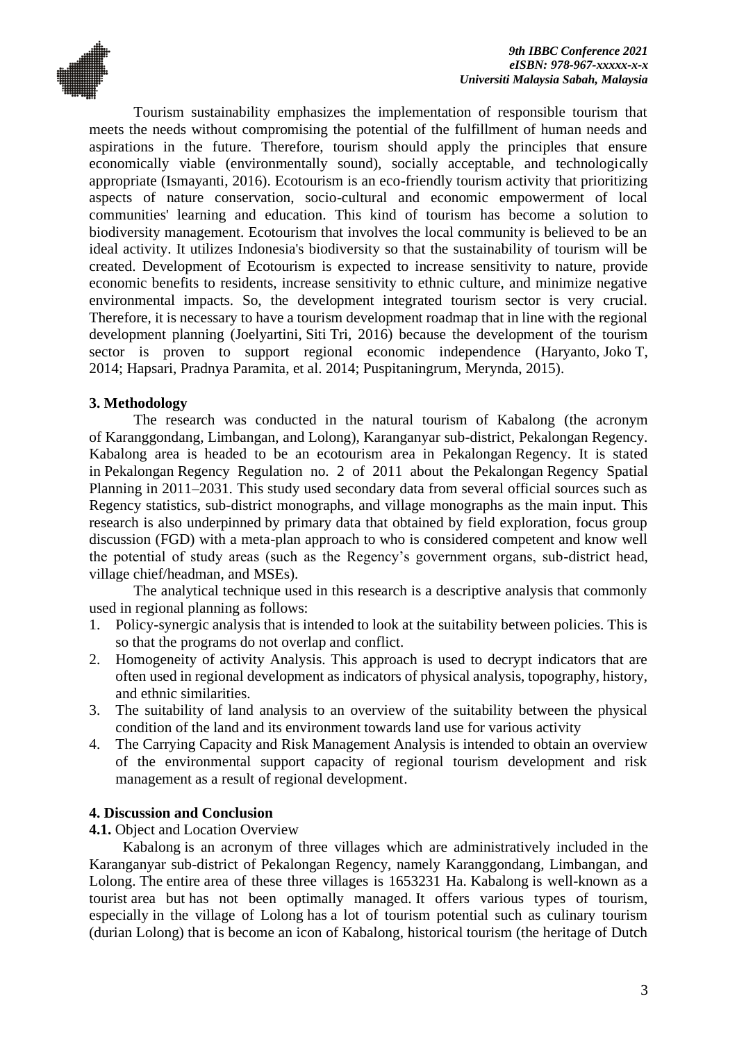Tourism sustainability emphasizes the implementation of responsible tourism that meets the needs without compromising the potential of the fulfillment of human needs and aspirations in the future. Therefore, tourism should apply the principles that ensure economically viable (environmentally sound), socially acceptable, and technologically appropriate (Ismayanti, 2016). Ecotourism is an eco-friendly tourism activity that prioritizing aspects of nature conservation, socio-cultural and economic empowerment of local communities' learning and education. This kind of tourism has become a solution to biodiversity management. Ecotourism that involves the local community is believed to be an ideal activity. It utilizes Indonesia's biodiversity so that the sustainability of tourism will be created. Development of Ecotourism is expected to increase sensitivity to nature, provide economic benefits to residents, increase sensitivity to ethnic culture, and minimize negative environmental impacts. So, the development integrated tourism sector is very crucial. Therefore, it is necessary to have a tourism development roadmap that in line with the regional development planning (Joelyartini, Siti Tri, 2016) because the development of the tourism sector is proven to support regional economic independence (Haryanto, Joko T, 2014; Hapsari, Pradnya Paramita, et al. 2014; Puspitaningrum, Merynda, 2015).

#### **3. Methodology**

The research was conducted in the natural tourism of Kabalong (the acronym of Karanggondang, Limbangan, and Lolong), Karanganyar sub-district, Pekalongan Regency. Kabalong area is headed to be an ecotourism area in Pekalongan Regency. It is stated in Pekalongan Regency Regulation no. 2 of 2011 about the Pekalongan Regency Spatial Planning in 2011–2031. This study used secondary data from several official sources such as Regency statistics, sub-district monographs, and village monographs as the main input. This research is also underpinned by primary data that obtained by field exploration, focus group discussion (FGD) with a meta-plan approach to who is considered competent and know well the potential of study areas (such as the Regency's government organs, sub-district head, village chief/headman, and MSEs).

The analytical technique used in this research is a descriptive analysis that commonly used in regional planning as follows:

- 1. Policy-synergic analysis that is intended to look at the suitability between policies. This is so that the programs do not overlap and conflict.
- 2. Homogeneity of activity Analysis. This approach is used to decrypt indicators that are often used in regional development as indicators of physical analysis, topography, history, and ethnic similarities.
- 3. The suitability of land analysis to an overview of the suitability between the physical condition of the land and its environment towards land use for various activity
- 4. The Carrying Capacity and Risk Management Analysis is intended to obtain an overview of the environmental support capacity of regional tourism development and risk management as a result of regional development.

#### **4. Discussion and Conclusion**

**4.1.** Object and Location Overview

Kabalong is an acronym of three villages which are administratively included in the Karanganyar sub-district of Pekalongan Regency, namely Karanggondang, Limbangan, and Lolong. The entire area of these three villages is 1653231 Ha. Kabalong is well-known as a tourist area but has not been optimally managed. It offers various types of tourism, especially in the village of Lolong has a lot of tourism potential such as culinary tourism (durian Lolong) that is become an icon of Kabalong, historical tourism (the heritage of Dutch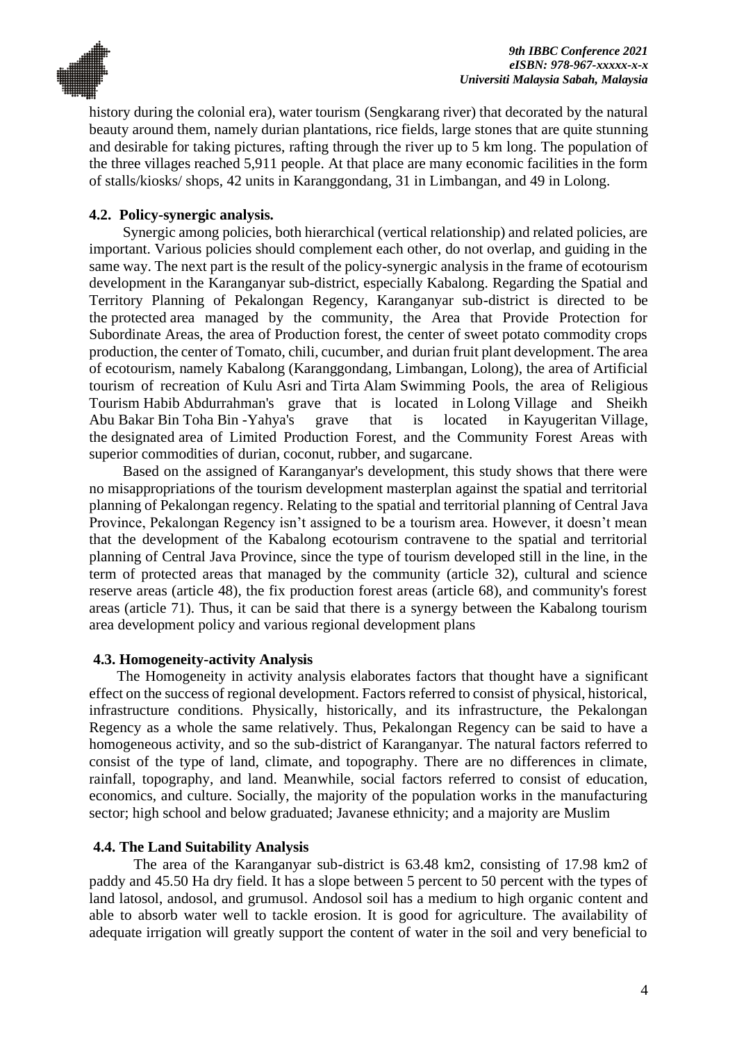

history during the colonial era), water tourism (Sengkarang river) that decorated by the natural beauty around them, namely durian plantations, rice fields, large stones that are quite stunning and desirable for taking pictures, rafting through the river up to 5 km long. The population of the three villages reached 5,911 people. At that place are many economic facilities in the form of stalls/kiosks/ shops, 42 units in Karanggondang, 31 in Limbangan, and 49 in Lolong.

## **4.2. Policy-synergic analysis.**

Synergic among policies, both hierarchical (vertical relationship) and related policies, are important. Various policies should complement each other, do not overlap, and guiding in the same way. The next part is the result of the policy-synergic analysis in the frame of ecotourism development in the Karanganyar sub-district, especially Kabalong. Regarding the Spatial and Territory Planning of Pekalongan Regency, Karanganyar sub-district is directed to be the protected area managed by the community, the Area that Provide Protection for Subordinate Areas, the area of Production forest, the center of sweet potato commodity crops production, the center of Tomato, chili, cucumber, and durian fruit plant development. The area of ecotourism, namely Kabalong (Karanggondang, Limbangan, Lolong), the area of Artificial tourism of recreation of Kulu Asri and Tirta Alam Swimming Pools, the area of Religious Tourism Habib Abdurrahman's grave that is located in Lolong Village and Sheikh Abu Bakar Bin Toha Bin -Yahya's grave that is located in Kayugeritan Village, the designated area of Limited Production Forest, and the Community Forest Areas with superior commodities of durian, coconut, rubber, and sugarcane.

Based on the assigned of Karanganyar's development, this study shows that there were no misappropriations of the tourism development masterplan against the spatial and territorial planning of Pekalongan regency. Relating to the spatial and territorial planning of Central Java Province, Pekalongan Regency isn't assigned to be a tourism area. However, it doesn't mean that the development of the Kabalong ecotourism contravene to the spatial and territorial planning of Central Java Province, since the type of tourism developed still in the line, in the term of protected areas that managed by the community (article 32), cultural and science reserve areas (article 48), the fix production forest areas (article 68), and community's forest areas (article 71). Thus, it can be said that there is a synergy between the Kabalong tourism area development policy and various regional development plans

#### **4.3. Homogeneity-activity Analysis**

The Homogeneity in activity analysis elaborates factors that thought have a significant effect on the success of regional development. Factors referred to consist of physical, historical, infrastructure conditions. Physically, historically, and its infrastructure, the Pekalongan Regency as a whole the same relatively. Thus, Pekalongan Regency can be said to have a homogeneous activity, and so the sub-district of Karanganyar. The natural factors referred to consist of the type of land, climate, and topography. There are no differences in climate, rainfall, topography, and land. Meanwhile, social factors referred to consist of education, economics, and culture. Socially, the majority of the population works in the manufacturing sector; high school and below graduated; Javanese ethnicity; and a majority are Muslim

#### **4.4. The Land Suitability Analysis**

The area of the Karanganyar sub-district is 63.48 km2, consisting of 17.98 km2 of paddy and 45.50 Ha dry field. It has a slope between 5 percent to 50 percent with the types of land latosol, andosol, and grumusol. Andosol soil has a medium to high organic content and able to absorb water well to tackle erosion. It is good for agriculture. The availability of adequate irrigation will greatly support the content of water in the soil and very beneficial to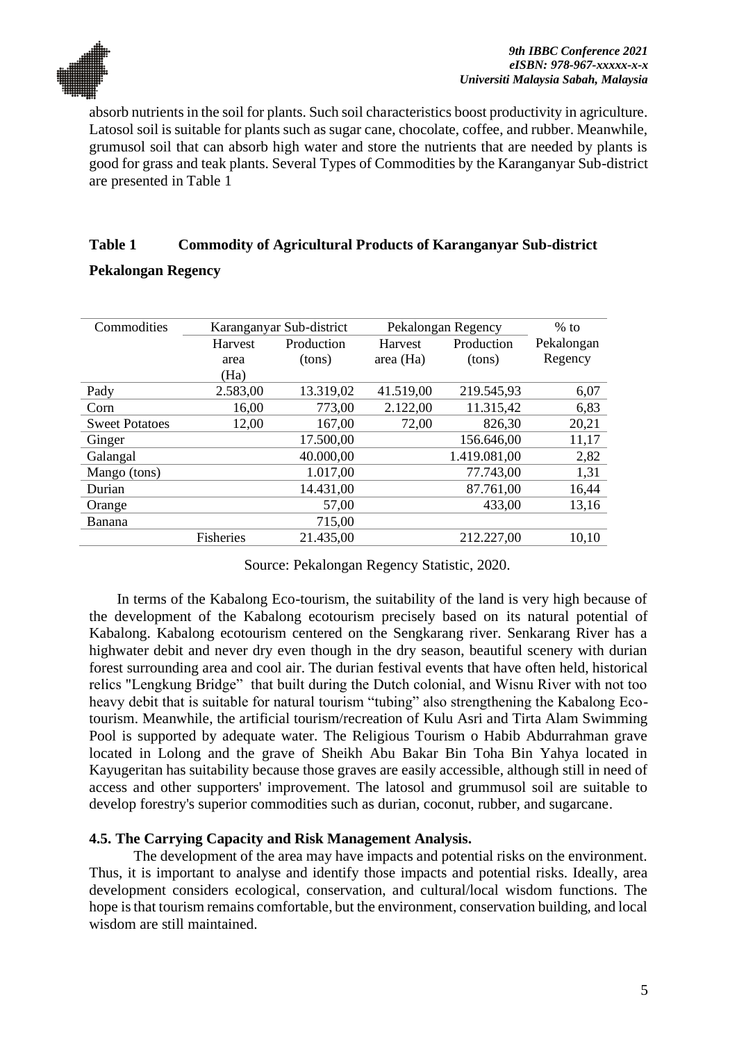

absorb nutrients in the soil for plants. Such soil characteristics boost productivity in agriculture. Latosol soil is suitable for plants such as sugar cane, chocolate, coffee, and rubber. Meanwhile, grumusol soil that can absorb high water and store the nutrients that are needed by plants is good for grass and teak plants. Several Types of Commodities by the Karanganyar Sub-district are presented in Table 1

# **Table 1 Commodity of Agricultural Products of Karanganyar Sub-district**

| Commodities           |                | Karanganyar Sub-district<br>Pekalongan Regency |                | $%$ to       |            |
|-----------------------|----------------|------------------------------------------------|----------------|--------------|------------|
|                       | <b>Harvest</b> | Production                                     | <b>Harvest</b> | Production   | Pekalongan |
|                       | area           | (tons)                                         | area (Ha)      | (tons)       | Regency    |
|                       | (Ha)           |                                                |                |              |            |
| Pady                  | 2.583,00       | 13.319,02                                      | 41.519,00      | 219.545,93   | 6,07       |
| Corn                  | 16,00          | 773,00                                         | 2.122,00       | 11.315,42    | 6,83       |
| <b>Sweet Potatoes</b> | 12,00          | 167,00                                         | 72,00          | 826,30       | 20,21      |
| Ginger                |                | 17.500,00                                      |                | 156.646,00   | 11,17      |
| Galangal              |                | 40.000,00                                      |                | 1.419.081,00 | 2,82       |
| Mango (tons)          |                | 1.017,00                                       |                | 77.743,00    | 1,31       |
| Durian                |                | 14.431,00                                      |                | 87.761,00    | 16,44      |
| Orange                |                | 57,00                                          |                | 433,00       | 13,16      |
| Banana                |                | 715,00                                         |                |              |            |
|                       | Fisheries      | 21.435,00                                      |                | 212.227,00   | 10,10      |

**Pekalongan Regency**

Source: Pekalongan Regency Statistic, 2020.

In terms of the Kabalong Eco-tourism, the suitability of the land is very high because of the development of the Kabalong ecotourism precisely based on its natural potential of Kabalong. Kabalong ecotourism centered on the Sengkarang river. Senkarang River has a highwater debit and never dry even though in the dry season, beautiful scenery with durian forest surrounding area and cool air. The durian festival events that have often held, historical relics "Lengkung Bridge" that built during the Dutch colonial, and Wisnu River with not too heavy debit that is suitable for natural tourism "tubing" also strengthening the Kabalong Ecotourism. Meanwhile, the artificial tourism/recreation of Kulu Asri and Tirta Alam Swimming Pool is supported by adequate water. The Religious Tourism o Habib Abdurrahman grave located in Lolong and the grave of Sheikh Abu Bakar Bin Toha Bin Yahya located in Kayugeritan has suitability because those graves are easily accessible, although still in need of access and other supporters' improvement. The latosol and grummusol soil are suitable to develop forestry's superior commodities such as durian, coconut, rubber, and sugarcane.

#### **4.5. The Carrying Capacity and Risk Management Analysis.**

The development of the area may have impacts and potential risks on the environment. Thus, it is important to analyse and identify those impacts and potential risks. Ideally, area development considers ecological, conservation, and cultural/local wisdom functions. The hope is that tourism remains comfortable, but the environment, conservation building, and local wisdom are still maintained.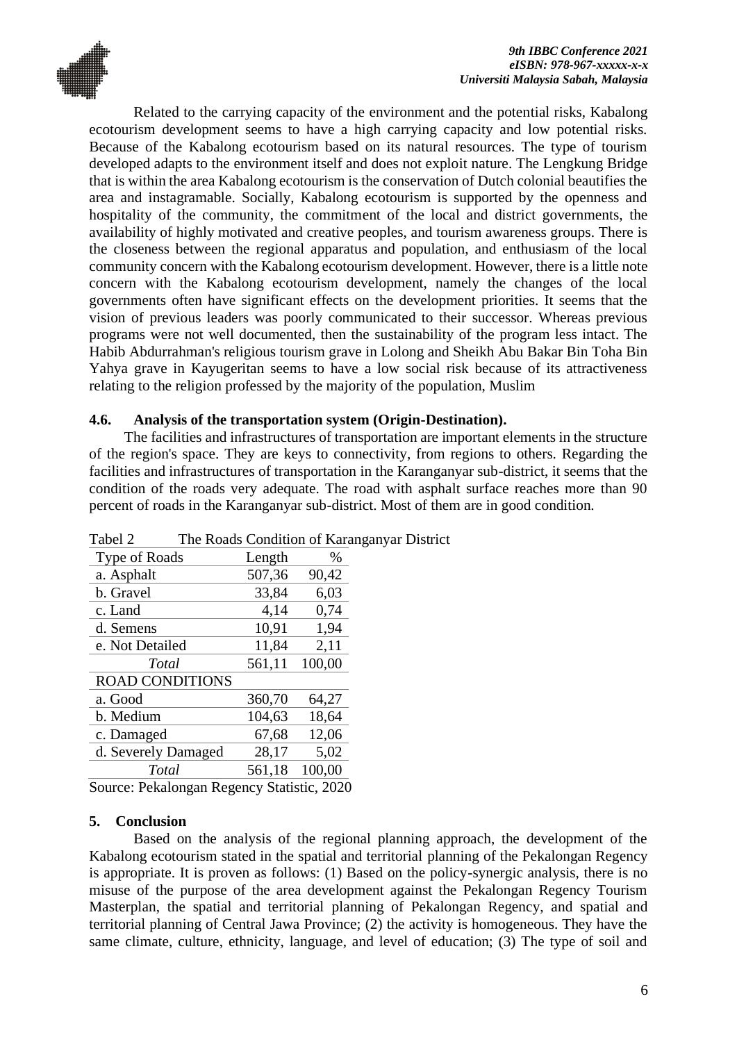

Related to the carrying capacity of the environment and the potential risks, Kabalong ecotourism development seems to have a high carrying capacity and low potential risks. Because of the Kabalong ecotourism based on its natural resources. The type of tourism developed adapts to the environment itself and does not exploit nature. The Lengkung Bridge that is within the area Kabalong ecotourism is the conservation of Dutch colonial beautifies the area and instagramable. Socially, Kabalong ecotourism is supported by the openness and hospitality of the community, the commitment of the local and district governments, the availability of highly motivated and creative peoples, and tourism awareness groups. There is the closeness between the regional apparatus and population, and enthusiasm of the local community concern with the Kabalong ecotourism development. However, there is a little note concern with the Kabalong ecotourism development, namely the changes of the local governments often have significant effects on the development priorities. It seems that the vision of previous leaders was poorly communicated to their successor. Whereas previous programs were not well documented, then the sustainability of the program less intact. The Habib Abdurrahman's religious tourism grave in Lolong and Sheikh Abu Bakar Bin Toha Bin Yahya grave in Kayugeritan seems to have a low social risk because of its attractiveness relating to the religion professed by the majority of the population, Muslim

#### **4.6. Analysis of the transportation system (Origin-Destination).**

The facilities and infrastructures of transportation are important elements in the structure of the region's space. They are keys to connectivity, from regions to others. Regarding the facilities and infrastructures of transportation in the Karanganyar sub-district, it seems that the condition of the roads very adequate. The road with asphalt surface reaches more than 90 percent of roads in the Karanganyar sub-district. Most of them are in good condition.

| Type of Roads          | Length | $\%$   |
|------------------------|--------|--------|
| a. Asphalt             | 507,36 | 90,42  |
| b. Gravel              | 33,84  | 6,03   |
| c. Land                | 4,14   | 0,74   |
| d. Semens              | 10,91  | 1,94   |
| e. Not Detailed        | 11,84  | 2,11   |
| Total                  | 561,11 | 100,00 |
| <b>ROAD CONDITIONS</b> |        |        |
| a. Good                | 360,70 | 64,27  |
| b. Medium              | 104,63 | 18,64  |
| c. Damaged             | 67,68  | 12,06  |
| d. Severely Damaged    | 28,17  | 5,02   |
| Total                  | 561,18 | 100,00 |
|                        |        |        |

# Tabel 2 The Roads Condition of Karanganyar District

Source: Pekalongan Regency Statistic, 2020

#### **5. Conclusion**

Based on the analysis of the regional planning approach, the development of the Kabalong ecotourism stated in the spatial and territorial planning of the Pekalongan Regency is appropriate. It is proven as follows: (1) Based on the policy-synergic analysis, there is no misuse of the purpose of the area development against the Pekalongan Regency Tourism Masterplan, the spatial and territorial planning of Pekalongan Regency, and spatial and territorial planning of Central Jawa Province; (2) the activity is homogeneous. They have the same climate, culture, ethnicity, language, and level of education; (3) The type of soil and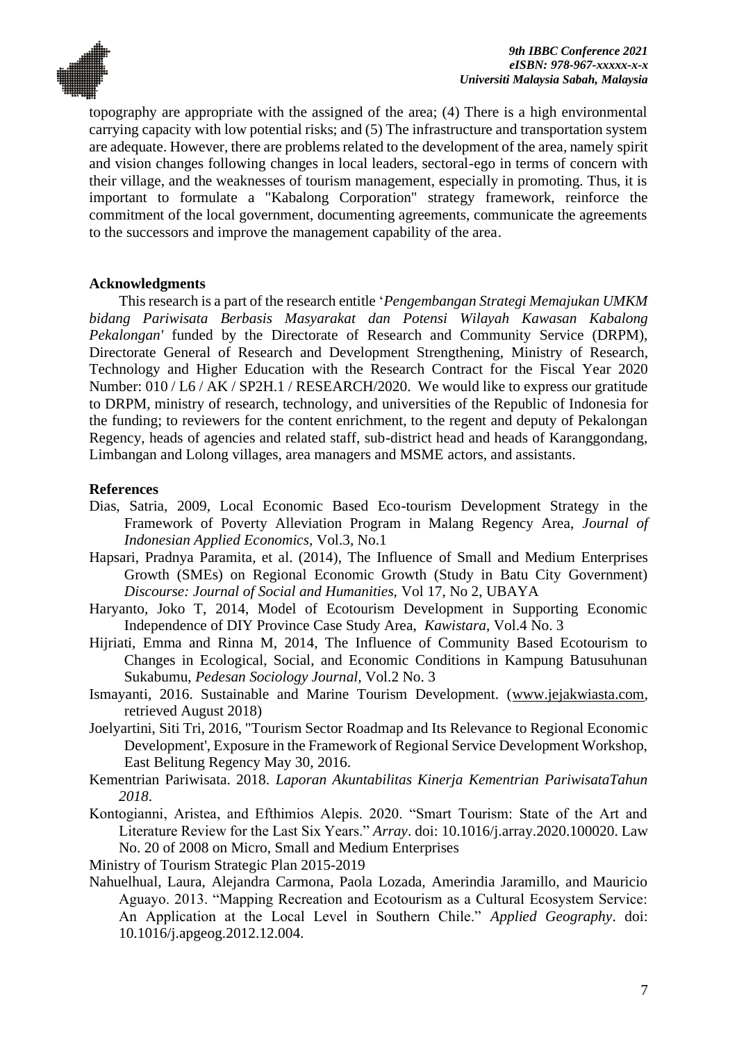

topography are appropriate with the assigned of the area; (4) There is a high environmental carrying capacity with low potential risks; and (5) The infrastructure and transportation system are adequate. However, there are problems related to the development of the area, namely spirit and vision changes following changes in local leaders, sectoral-ego in terms of concern with their village, and the weaknesses of tourism management, especially in promoting. Thus, it is important to formulate a "Kabalong Corporation" strategy framework, reinforce the commitment of the local government, documenting agreements, communicate the agreements to the successors and improve the management capability of the area.

#### **Acknowledgments**

This research is a part of the research entitle '*Pengembangan Strategi Memajukan UMKM bidang Pariwisata Berbasis Masyarakat dan Potensi Wilayah Kawasan Kabalong Pekalongan'* funded by the Directorate of Research and Community Service (DRPM), Directorate General of Research and Development Strengthening, Ministry of Research, Technology and Higher Education with the Research Contract for the Fiscal Year 2020 Number: 010 / L6 / AK / SP2H.1 / RESEARCH/2020. We would like to express our gratitude to DRPM, ministry of research, technology, and universities of the Republic of Indonesia for the funding; to reviewers for the content enrichment, to the regent and deputy of Pekalongan Regency, heads of agencies and related staff, sub-district head and heads of Karanggondang, Limbangan and Lolong villages, area managers and MSME actors, and assistants.

### **References**

- Dias, Satria, 2009, Local Economic Based Eco-tourism Development Strategy in the Framework of Poverty Alleviation Program in Malang Regency Area, *Journal of Indonesian Applied Economics,* Vol.3, No.1
- Hapsari, Pradnya Paramita, et al. (2014), The Influence of Small and Medium Enterprises Growth (SMEs) on Regional Economic Growth (Study in Batu City Government) *Discourse: Journal of Social and Humanities,* Vol 17, No 2, UBAYA
- Haryanto, Joko T, 2014, Model of Ecotourism Development in Supporting Economic Independence of DIY Province Case Study Area, *Kawistara*, Vol.4 No. 3
- Hijriati, Emma and Rinna M, 2014, The Influence of Community Based Ecotourism to Changes in Ecological, Social, and Economic Conditions in Kampung Batusuhunan Sukabumu, *Pedesan Sociology Journal,* Vol.2 No. 3
- Ismayanti, 2016. Sustainable and Marine Tourism Development. [\(www.jejakwiasta.com,](http://www.jejakwiasta.com/) retrieved August 2018)
- Joelyartini, Siti Tri, 2016, "Tourism Sector Roadmap and Its Relevance to Regional Economic Development', Exposure in the Framework of Regional Service Development Workshop, East Belitung Regency May 30, 2016.
- Kementrian Pariwisata. 2018. *Laporan Akuntabilitas Kinerja Kementrian PariwisataTahun 2018*.
- Kontogianni, Aristea, and Efthimios Alepis. 2020. "Smart Tourism: State of the Art and Literature Review for the Last Six Years." *Array*. doi: 10.1016/j.array.2020.100020. Law No. 20 of 2008 on Micro, Small and Medium Enterprises
- Ministry of Tourism Strategic Plan 2015-2019
- Nahuelhual, Laura, Alejandra Carmona, Paola Lozada, Amerindia Jaramillo, and Mauricio Aguayo. 2013. "Mapping Recreation and Ecotourism as a Cultural Ecosystem Service: An Application at the Local Level in Southern Chile." *Applied Geography*. doi: 10.1016/j.apgeog.2012.12.004.